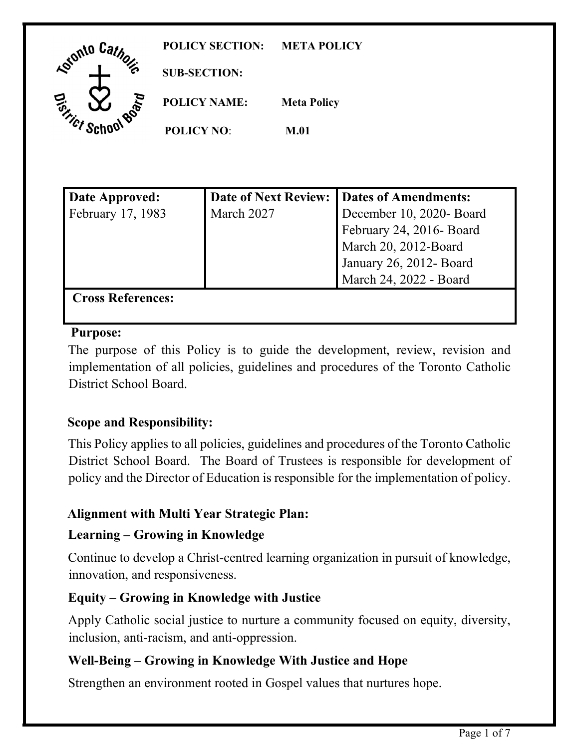| <b>Reforto Cate</b>       | <b>POLICY SECTION:</b> | <b>META POLICY</b> |
|---------------------------|------------------------|--------------------|
| ינ <sup>וסוי</sup><br>ה   | <b>SUB-SECTION:</b>    |                    |
| <b>. 800</b><br>To Hick C | <b>POLICY NAME:</b>    | <b>Meta Policy</b> |
|                           | <b>POLICY NO:</b>      | <b>M.01</b>        |

| <b>Date Approved:</b>    |            | Date of Next Review:   Dates of Amendments: |
|--------------------------|------------|---------------------------------------------|
| February 17, 1983        | March 2027 | December 10, 2020- Board                    |
|                          |            | February 24, 2016- Board                    |
|                          |            | March 20, 2012-Board                        |
|                          |            | January 26, 2012- Board                     |
|                          |            | March 24, 2022 - Board                      |
| <b>Cross References:</b> |            |                                             |

#### **Purpose:**

The purpose of this Policy is to guide the development, review, revision and implementation of all policies, guidelines and procedures of the Toronto Catholic District School Board.

# **Scope and Responsibility:**

 policy and the Director of Education is responsible for the implementation of policy. This Policy applies to all policies, guidelines and procedures of the Toronto Catholic District School Board. The Board of Trustees is responsible for development of

# **Alignment with Multi Year Strategic Plan:**

#### **Learning – Growing in Knowledge**

Continue to develop a Christ-centred learning organization in pursuit of knowledge, innovation, and responsiveness.

#### **Equity – Growing in Knowledge with Justice**

Apply Catholic social justice to nurture a community focused on equity, diversity, inclusion, anti-racism, and anti-oppression.

# **Well-Being – Growing in Knowledge With Justice and Hope**

Strengthen an environment rooted in Gospel values that nurtures hope.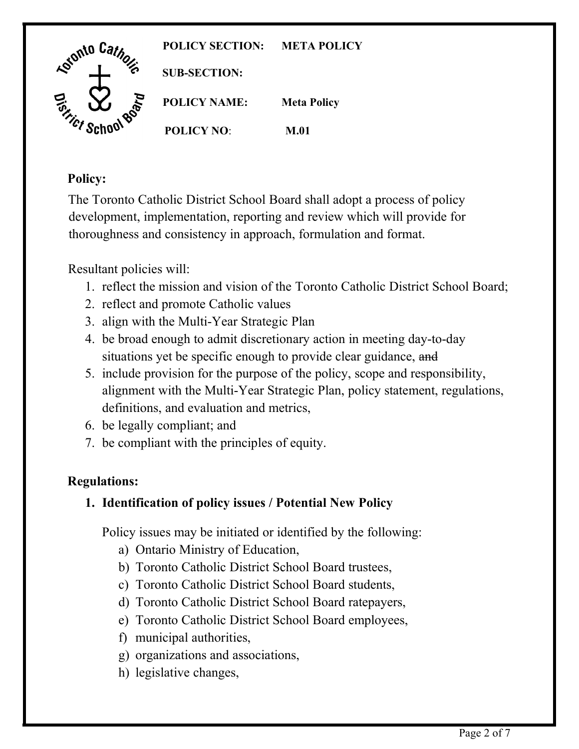

# **Policy:**

The Toronto Catholic District School Board shall adopt a process of policy development, implementation, reporting and review which will provide for thoroughness and consistency in approach, formulation and format.

Resultant policies will:

- 1. reflect the mission and vision of the Toronto Catholic District School Board;
- 2. reflect and promote Catholic values
- 3. align with the Multi-Year Strategic Plan
- situations yet be specific enough to provide clear guidance, and 4. be broad enough to admit discretionary action in meeting day-to-day
- definitions, and evaluation and metrics, 5. include provision for the purpose of the policy, scope and responsibility, alignment with the Multi-Year Strategic Plan, policy statement, regulations,
- 6. be legally compliant; and
- 7. be compliant with the principles of equity.

# **Regulations:**

# **1. Identification of policy issues / Potential New Policy**

Policy issues may be initiated or identified by the following:<br>
a) Ontario Ministry of Education,<br>
b) Toronto Catholic District School Board students,<br>
c) Toronto Catholic District School Board students,

- a) Ontario Ministry of Education,
- b) Toronto Catholic District School Board trustees,
- 
- d) Toronto Catholic District School Board ratepayers,
- d) Toronto Catholic District School Board ratepayers, e) Toronto Catholic District School Board employees, f) municipal authorities,
- f) municipal authorities,
- g) organizations and associations,
- h) legislative changes, h) legislative changes,<br>
Page 2 of 7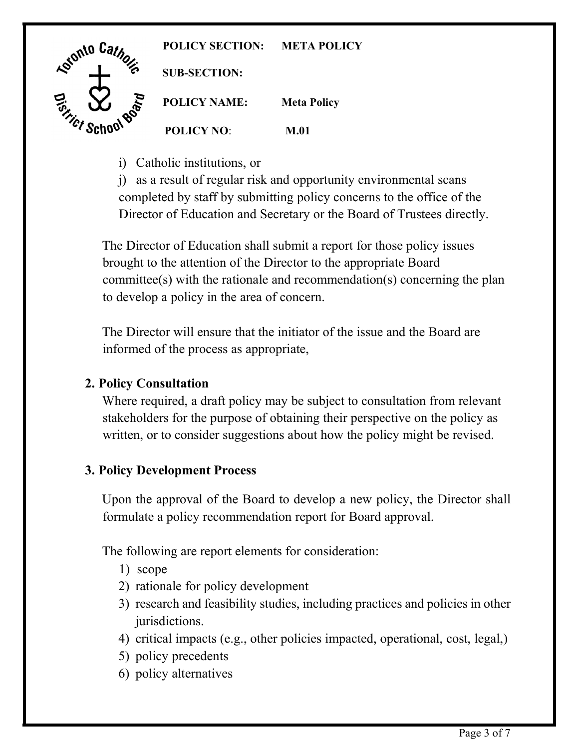

i) Catholic institutions, or

Director of Education and Secretary or the Board of Trustees directly. j) as a result of regular risk and opportunity environmental scans completed by staff by submitting policy concerns to the office of the

to develop a policy in the area of concern. The Director of Education shall submit a report for those policy issues brought to the attention of the Director to the appropriate Board committee(s) with the rationale and recommendation(s) concerning the plan

 informed of the process as appropriate, The Director will ensure that the initiator of the issue and the Board are

#### **2. Policy Consultation**

 stakeholders for the purpose of obtaining their perspective on the policy as Where required, a draft policy may be subject to consultation from relevant written, or to consider suggestions about how the policy might be revised.

# **3. Policy Development Process**

 formulate a policy recommendation report for Board approval. The following are report elements for consideration: 1) scope Upon the approval of the Board to develop a new policy, the Director shall

The following are report elements for consideration:

- 
- 2) rationale for policy development
- 3) research and feasibility studies, including practices and policies in other jurisdictions.
- 4) critical impacts (e.g., other policies impacted, operational, cost, legal,)
- 5) policy precedents
- 6) policy alternatives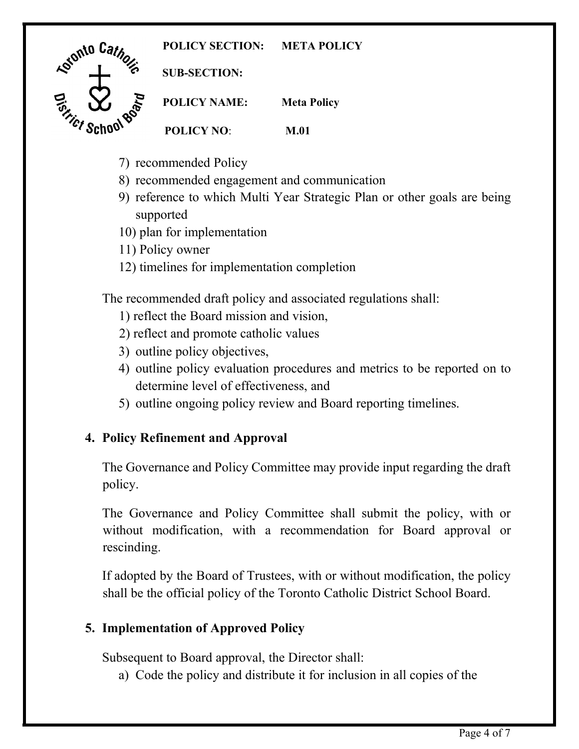**POLICY SECTION: META POLICY** 



**SUB-SECTION:** 

**POLICY NAME: Meta Policy POLICY NO**: **M.01** 

- 7) recommended Policy
- 8) recommended engagement and communication
- 9) reference to which Multi Year Strategic Plan or other goals are being supported
- 10) plan for implementation
- 11) Policy owner
- 12) timelines for implementation completion

The recommended draft policy and associated regulations shall:

- 1) reflect the Board mission and vision,
- 2) reflect and promote catholic values
- 3) outline policy objectives,
- 4) outline policy evaluation procedures and metrics to be reported on to determine level of effectiveness, and
- 5) outline ongoing policy review and Board reporting timelines.

# **4. Policy Refinement and Approval**

 The Governance and Policy Committee may provide input regarding the draft policy.

rescinding. The Governance and Policy Committee shall submit the policy, with or without modification, with a recommendation for Board approval or

If adopted by the Board of Trustees, with or without modification, the policy shall be the official policy of the Toronto Catholic District School Board.

# **5. Implementation of Approved Policy**

Subsequent to Board approval, the Director shall:

a) Code the policy and distribute it for inclusion in all copies of the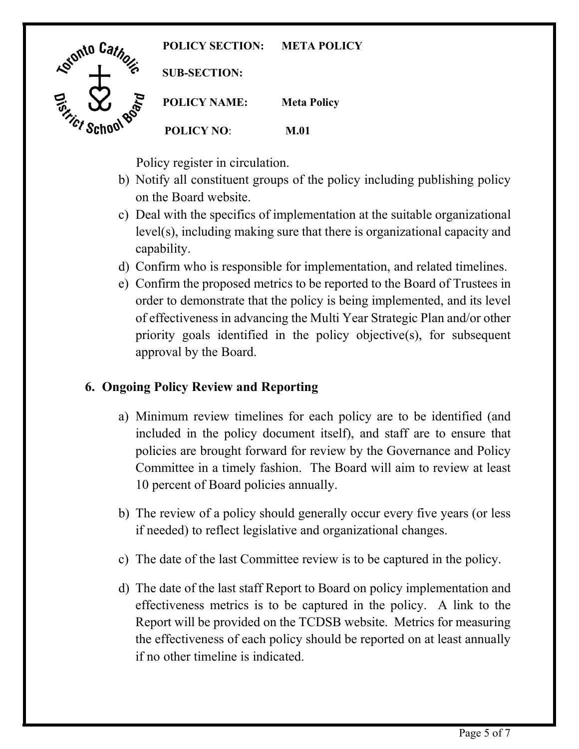

Policy register in circulation.

- b) Notify all constituent groups of the policy including publishing policy on the Board website.
- c) Deal with the specifics of implementation at the suitable organizational level(s), including making sure that there is organizational capacity and capability.
- d) Confirm who is responsible for implementation, and related timelines.
- priority goals identified in the policy objective(s), for subsequent e) Confirm the proposed metrics to be reported to the Board of Trustees in order to demonstrate that the policy is being implemented, and its level of effectiveness in advancing the Multi Year Strategic Plan and/or other approval by the Board.

# **6. Ongoing Policy Review and Reporting**

- included in the policy document itself), and staff are to ensure that Committee in a timely fashion. The Board will aim to review at least a) Minimum review timelines for each policy are to be identified (and policies are brought forward for review by the Governance and Policy 10 percent of Board policies annually.
- b) The review of a policy should generally occur every five years (or less if needed) to reflect legislative and organizational changes.
- c) The date of the last Committee review is to be captured in the policy.
- Report will be provided on the TCDSB website. Metrics for measuring d) The date of the last staff Report to Board on policy implementation and effectiveness metrics is to be captured in the policy. A link to the the effectiveness of each policy should be reported on at least annually if no other timeline is indicated.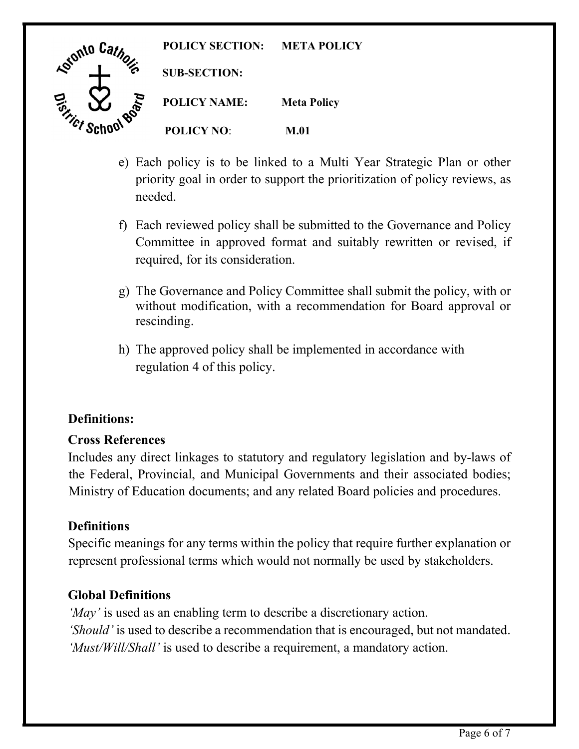

- e) Each policy is to be linked to a Multi Year Strategic Plan or other priority goal in order to support the prioritization of policy reviews, as needed.
- required, for its consideration. f) Each reviewed policy shall be submitted to the Governance and Policy Committee in approved format and suitably rewritten or revised, if
- rescinding. g) The Governance and Policy Committee shall submit the policy, with or without modification, with a recommendation for Board approval or
- regulation 4 of this policy. h) The approved policy shall be implemented in accordance with

# Definitions:

#### **Cross References**

 Includes any direct linkages to statutory and regulatory legislation and by-laws of the Federal, Provincial, and Municipal Governments and their associated bodies; Ministry of Education documents; and any related Board policies and procedures.

#### **Definitions**

 Specific meanings for any terms within the policy that require further explanation or represent professional terms which would not normally be used by stakeholders.

# **Global Definitions**

 *'May'* is used as an enabling term to describe a discretionary action. *'Should'* is used to describe a recommendation that is encouraged, but not mandated. *'Must/Will/Shall'* is used to describe a requirement, a mandatory action.